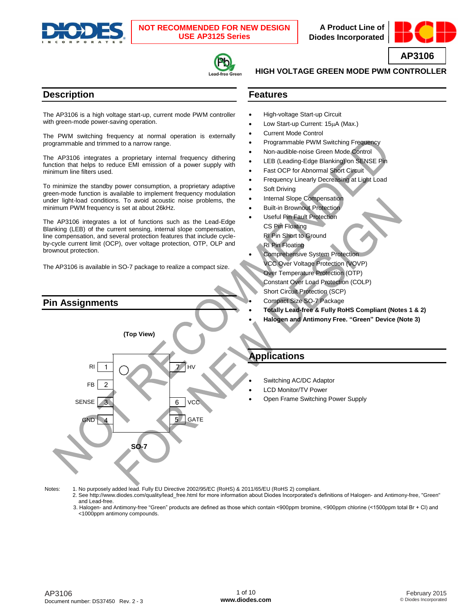

**NOT RECOMMENDED FOR NEW DESIGN USE AP3125 Series**







## **HIGH VOLTAGE GREEN MODE PWM CONTROLLER**

## **Description**

The AP3106 is a high voltage start-up, current mode PWM controller with green-mode power-saving operation.

The PWM switching frequency at normal operation is externally programmable and trimmed to a narrow range.

The AP3106 integrates a proprietary internal frequency dithering function that helps to reduce EMI emission of a power supply with minimum line filters used.

To minimize the standby power consumption, a proprietary adaptive green-mode function is available to implement frequency modulation under light-load conditions. To avoid acoustic noise problems, the minimum PWM frequency is set at about 26kHz.

The AP3106 integrates a lot of functions such as the Lead-Edge Blanking (LEB) of the current sensing, internal slope compensation, line compensation, and several protection features that include cycleby-cycle current limit (OCP), over voltage protection, OTP, OLP and brownout protection.

The AP3106 is available in SO-7 package to realize a compact size.



# **Features**

- High-voltage Start-up Circuit
- Low Start-up Current: 15µA (Max.)
- Current Mode Control
- Programmable PWM Switching Frequency
- Non-audible-noise Green Mode Control
- LEB (Leading-Edge Blanking) on SENSE Pin
- Fast OCP for Abnormal Short Circuit
- Frequency Linearly Decreasing at Light Load
- Soft Driving
- Internal Slope Compensation
- Built-in Brownout Protection
- Useful Pin Fault Protection CS Pin Floating RI Pin Short to Ground RI Pin Floating
- Comprehensive System Protection VCC Over Voltage Protection (VOVP) Over Temperature Protection (OTP) Constant Over Load Protection (COLP) Short Circuit Protection (SCP)
- Compact Size SO-7 Package
- **Totally Lead-free & Fully RoHS Compliant (Notes 1 & 2)**
- **Halogen and Antimony Free. "Green" Device (Note 3)**

# **Applications**

- Switching AC/DC Adaptor
- LCD Monitor/TV Power
- Open Frame Switching Power Supply

- Notes: 1. No purposely added lead. Fully EU Directive 2002/95/EC (RoHS) & 2011/65/EU (RoHS 2) compliant.
	- 2. See [http://www.diodes.com/quality/lead\\_free.html](http://www.diodes.com/quality/lead_free.html) for more information about Diodes Incorporated's definitions of Halogen- and Antimony-free, "Green" and Lead-free.
	- 3. Halogen- and Antimony-free "Green" products are defined as those which contain <900ppm bromine, <900ppm chlorine (<1500ppm total Br + Cl) and <1000ppm antimony compounds.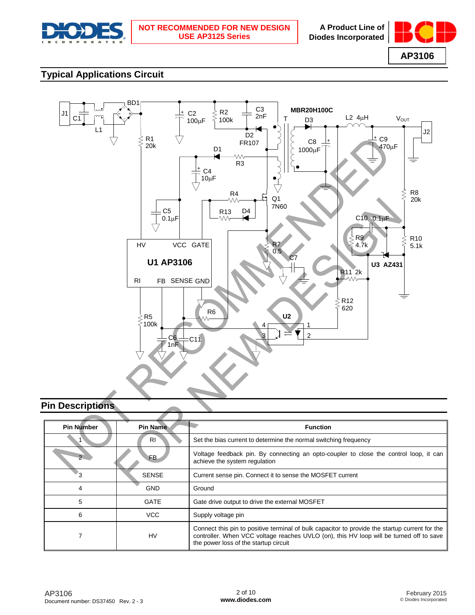



# **Typical Applications Circuit**



## **Pin Descriptions**

| <b>Pin Number</b> | <b>Pin Name</b> | <b>Function</b>                                                                                                                                                                                                                    |
|-------------------|-----------------|------------------------------------------------------------------------------------------------------------------------------------------------------------------------------------------------------------------------------------|
|                   | RI              | Set the bias current to determine the normal switching frequency                                                                                                                                                                   |
|                   | FB.             | Voltage feedback pin. By connecting an opto-coupler to close the control loop, it can<br>achieve the system regulation                                                                                                             |
| 3                 | <b>SENSE</b>    | Current sense pin. Connect it to sense the MOSFET current                                                                                                                                                                          |
| 4                 | <b>GND</b>      | Ground                                                                                                                                                                                                                             |
| 5                 | <b>GATE</b>     | Gate drive output to drive the external MOSFET                                                                                                                                                                                     |
| 6                 | <b>VCC</b>      | Supply voltage pin                                                                                                                                                                                                                 |
|                   | HV              | Connect this pin to positive terminal of bulk capacitor to provide the startup current for the<br>controller. When VCC voltage reaches UVLO (on), this HV loop will be turned off to save<br>the power loss of the startup circuit |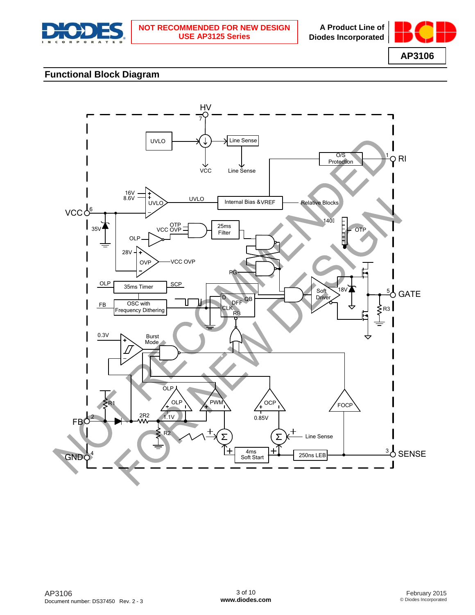



# **Functional Block Diagram**

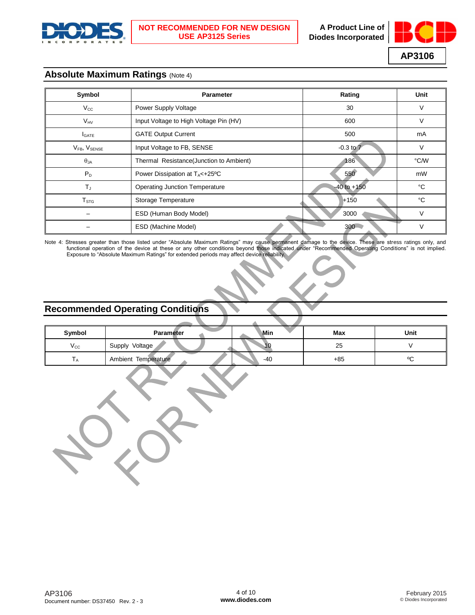



## **Absolute Maximum Ratings** (Note 4)

| Symbol                 | <b>Parameter</b>                        | Rating | Unit            |      |
|------------------------|-----------------------------------------|--------|-----------------|------|
| $V_{\rm CC}$           | Power Supply Voltage                    |        |                 |      |
| $V_{HV}$               | Input Voltage to High Voltage Pin (HV)  |        | 600             | V    |
| <b>I</b> GATE          | <b>GATE Output Current</b>              |        |                 |      |
| $V_{FB}$ , $V_{SENSE}$ | Input Voltage to FB, SENSE              |        | $-0.3$ to $7$   | V    |
| $\theta_{JA}$          | Thermal Resistance(Junction to Ambient) |        | 186             | °C/W |
| $P_D$                  | Power Dissipation at $T_A$ <+25°C       |        | 550             | mW   |
| $T_{\rm J}$            | <b>Operating Junction Temperature</b>   |        | $-40$ to $+150$ | °C   |
| ${\sf T}_{\text{STG}}$ | <b>Storage Temperature</b>              |        | $+150$          | °C   |
|                        | ESD (Human Body Model)                  |        | 3000            |      |
|                        | ESD (Machine Model)                     |        | $300 -$         |      |

Note 4: Stresses greater than those listed under "Absolute Maximum Ratings" may cause permanent damage to the device. These are stress ratings only, and functional operation of the device at these or any other conditions beyond those indicated under "Recommended Operating Conditions" is not implied. Exposure to "Absolute Maximum Ratings" for extended periods may affect device reliability.

# **Recommended Operating Conditions**

| Symbol       | <b>Parameter</b>    | Min | Max   | Unit    |
|--------------|---------------------|-----|-------|---------|
| $V_{\rm CC}$ | Supply Voltage      | 10  | 25    |         |
| ıд           | Ambient Temperature | -40 | $+85$ | $\circ$ |

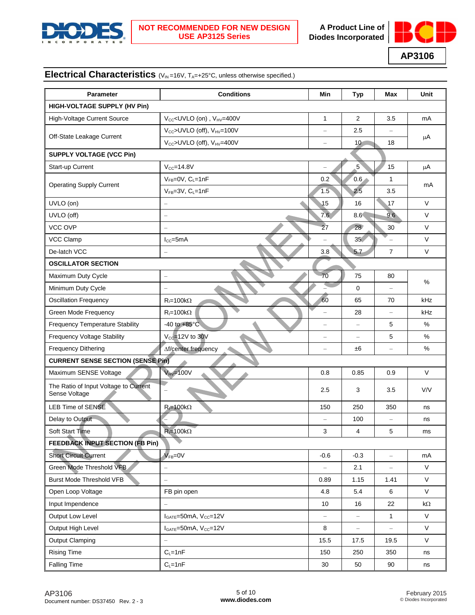





# **Electrical Characteristics** (V<sub>IN</sub>=16V, T<sub>A</sub>=+25°C, unless otherwise specified.)

| Parameter                                              | <b>Conditions</b>                                   | Min                      | <b>Typ</b>               | <b>Max</b>               | Unit          |  |
|--------------------------------------------------------|-----------------------------------------------------|--------------------------|--------------------------|--------------------------|---------------|--|
| HIGH-VOLTAGE SUPPLY (HV Pin)                           |                                                     |                          |                          |                          |               |  |
| High-Voltage Current Source                            | $V_{CC}$ <uvlo (on),="" <math="">V_{HV}=400V</uvlo> | 1                        | $\overline{2}$           | 3.5                      | mA            |  |
|                                                        | $V_{CC}$ >UVLO (off), $V_{HV}$ =100V                | L.                       | 2.5                      |                          |               |  |
| Off-State Leakage Current                              | V <sub>CC</sub> >UVLO (off), V <sub>HV</sub> =400V  | $\qquad \qquad -$        | 10 <sup>°</sup>          | 18                       | $\mu$ A       |  |
| <b>SUPPLY VOLTAGE (VCC Pin)</b>                        |                                                     |                          |                          |                          |               |  |
| Start-up Current                                       | $V_{CC} = 14.8V$                                    | $\qquad \qquad -$        | $5^{\circ}$              | 15                       | μA            |  |
| <b>Operating Supply Current</b>                        | $V_{FB} = 0V$ , $C_L = 1nF$                         | 0.2                      | 0.6                      | 1                        |               |  |
|                                                        | $V_{FB} = 3V$ , $C_L = 1nF$                         | 1.5                      | 2.5                      | 3.5                      | mA            |  |
| UVLO (on)                                              |                                                     | 15                       | 16                       | 17                       | $\vee$        |  |
| UVLO (off)                                             | $\qquad \qquad -$                                   | 7.6                      | 8.6 <sup>°</sup>         | 9.6                      | $\mathsf{V}$  |  |
| VCC OVP                                                | $\overline{\phantom{0}}$                            | 27                       | 28                       | 30                       | $\mathsf V$   |  |
| VCC Clamp                                              | $I_{cc} = 5mA$                                      |                          | 35                       |                          | V             |  |
| De-latch VCC                                           | $\overline{\phantom{0}}$                            | 3.8                      | 5.7                      | $\overline{7}$           | $\vee$        |  |
| <b>OSCILLATOR SECTION</b>                              |                                                     |                          |                          |                          |               |  |
| Maximum Duty Cycle                                     | $\qquad \qquad -$                                   | 70                       | 75                       | 80                       | %             |  |
| Minimum Duty Cycle                                     |                                                     |                          | 0                        | $\equiv$                 |               |  |
| <b>Oscillation Frequency</b>                           | $R_1 = 100k\Omega$                                  | 60                       | 65                       | 70                       | kHz           |  |
| Green Mode Frequency                                   | $R_{I} = 100k\Omega$                                |                          | 28                       |                          | kHz           |  |
| <b>Frequency Temperature Stability</b>                 | $-40$ to $+85^{\circ}$ C                            | $\qquad \qquad -$        | $\overline{\phantom{m}}$ | 5                        | %             |  |
| <b>Frequency Voltage Stability</b>                     | $V_{\text{CC}}$ =12V to 30V                         |                          |                          | 5                        | $\%$          |  |
| <b>Frequency Dithering</b>                             | ∆f/center frequency                                 | $\qquad \qquad -$        | ±6                       | $\qquad \qquad -$        | $\%$          |  |
| <b>CURRENT SENSE SECTION (SENSE Pin)</b>               |                                                     |                          |                          |                          |               |  |
| Maximum SENSE Voltage                                  | $V_{HV} = 100V$                                     | 0.8                      | 0.85                     | 0.9                      | $\vee$        |  |
| The Ratio of Input Voltage to Current<br>Sense Voltage |                                                     | 2.5                      | 3                        | 3.5                      | V/V           |  |
| LEB Time of SENSE                                      | $R_1 = 100k\Omega$                                  | 150                      | 250                      | 350                      | ns            |  |
| Delay to Output                                        |                                                     |                          | 100                      |                          | ns            |  |
| Soft Start Time                                        | $R_{I} = 100k\Omega$                                | 3                        | 4                        | 5                        | $\mathsf{ms}$ |  |
| <b>FEEDBACK INPUT SECTION (FB Pin)</b>                 |                                                     |                          |                          |                          |               |  |
| <b>Short Circuit Current</b>                           | $V_{FB} = 0V$                                       | $-0.6$                   | $-0.3$                   | $\qquad \qquad -$        | mA            |  |
| Green Mode Threshold VFB                               | $\overline{\phantom{a}}$                            | $\overline{\phantom{0}}$ | 2.1                      | $\qquad \qquad -$        | V             |  |
| Burst Mode Threshold VFB                               | $\qquad \qquad -$                                   | 0.89                     | 1.15                     | 1.41                     | V             |  |
| Open Loop Voltage                                      | FB pin open                                         | 4.8                      | 5.4                      | 6                        | $\mathsf{V}$  |  |
| Input Impendence                                       | $\overline{\phantom{0}}$                            | 10                       | 16                       | 22                       | k $\Omega$    |  |
| Output Low Level                                       | $I_{GATE}$ =50mA, $V_{CC}$ =12V                     | $\overline{\phantom{0}}$ | $\overline{\phantom{0}}$ | 1                        | V             |  |
| Output High Level                                      | $I_{GATE}$ =50mA, $V_{CC}$ =12V                     | 8                        | $\overline{\phantom{0}}$ | $\overline{\phantom{0}}$ | $\vee$        |  |
| Output Clamping                                        |                                                     | 15.5                     | 17.5                     | 19.5                     | V             |  |
| <b>Rising Time</b>                                     | $C_L = 1nF$                                         | 150                      | 250                      | 350                      | ns            |  |
| <b>Falling Time</b>                                    | $C_L = 1nF$                                         | 30                       | 50                       | 90                       | ns            |  |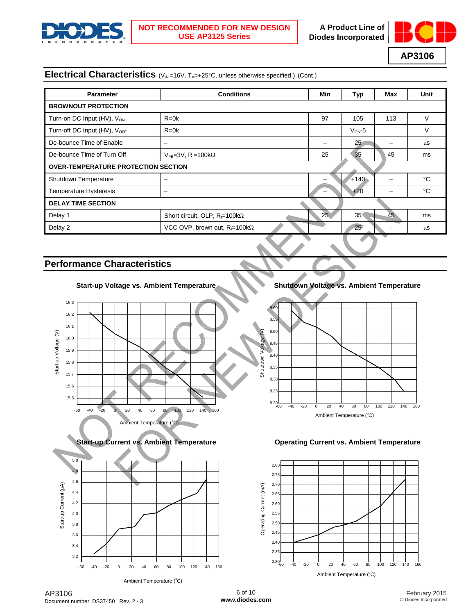



## **Electrical Characteristics** (V<sub>IN</sub>=16V, T<sub>A</sub>=+25°C, unless otherwise specified.) (Cont.)

| <b>Parameter</b>                           | <b>Conditions</b>                                | Min             | Typ             | Max | Unit   |
|--------------------------------------------|--------------------------------------------------|-----------------|-----------------|-----|--------|
| <b>BROWNOUT PROTECTION</b>                 |                                                  |                 |                 |     |        |
| Turn-on DC Input (HV), $V_{ON}$            | $R = 0k$                                         | 97              | 105             | 113 |        |
| Turn-off DC Input (HV), V <sub>OFF</sub>   | $R = 0k$                                         |                 | $V_{ON} - 5$    | -   | $\vee$ |
| De-bounce Time of Enable                   | $\qquad \qquad$                                  |                 | 25 <sub>1</sub> |     | μS     |
| De-bounce Time of Turn Off                 | $V_{FB}=3V$ , R <sub>I</sub> =100kΩ              | 25              | 35              | 45  | ms     |
| <b>OVER-TEMPERATURE PROTECTION SECTION</b> |                                                  |                 |                 |     |        |
| Shutdown Temperature                       | $\qquad \qquad$                                  |                 | $+140$          |     | °C     |
| <b>Temperature Hysteresis</b>              | -                                                |                 | $+20$           |     | °C     |
| <b>DELAY TIME SECTION</b>                  |                                                  |                 |                 |     |        |
| Delay 1                                    | Short circuit, OLP, $R_1 = 100k\Omega$           | 25 <sub>2</sub> | $35$            | 45  | ms     |
| Delay 2                                    | VCC OVP, brown out, $R_{\parallel} = 100k\Omega$ |                 | 25'             |     | μS     |

## **Performance Characteristics**



**Start-up Current vs. Ambient Temperature Current vs. Ambient Temperature** 



Start-up Voltage vs. Ambient Temperature Shutdown Voltage vs. Ambient Temperature



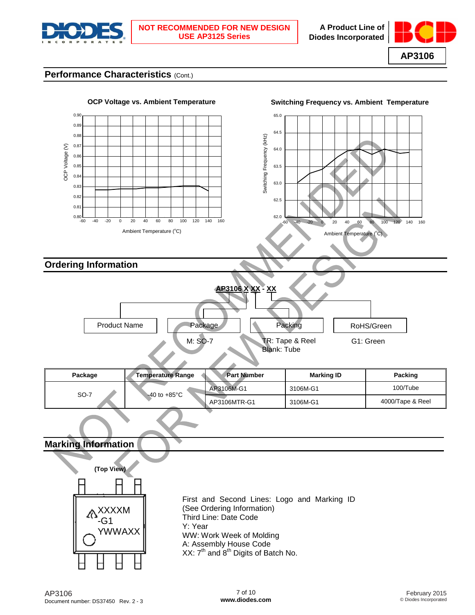



## **Performance Characteristics (Cont.)**

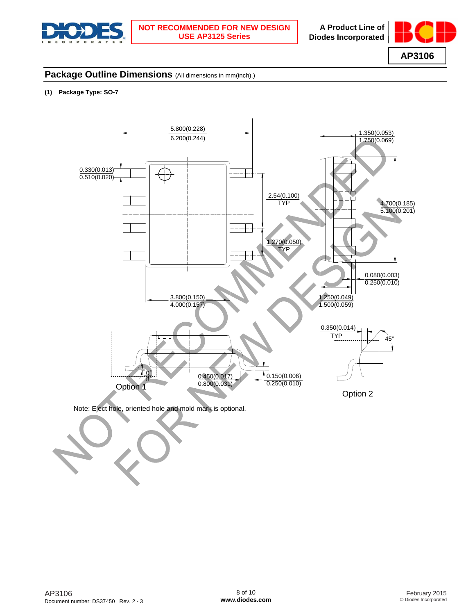

**A Product Line of Diodes Incorporated**



## **Package Outline Dimensions** (All dimensions in mm(inch).)

**(1) Package Type: SO-7**

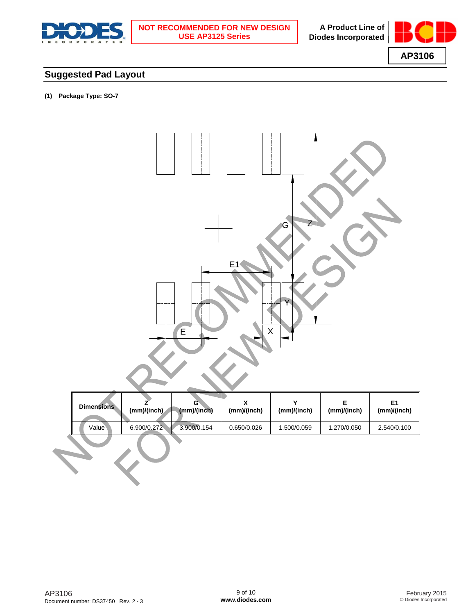



# **Suggested Pad Layout**

**(1) Package Type: SO-7**



| <b>Dimensions</b> | (mm)/(inch) | (mm)/(inch) | (mm)/(inch) | (mm)/(inch) | (mm)/(inch) | (mm)/(inch) |
|-------------------|-------------|-------------|-------------|-------------|-------------|-------------|
| Value             | 6.900/0.272 | 3.900/0.154 | 0.650/0.026 | .500/0.059  | 1.270/0.050 | 2.540/0.100 |